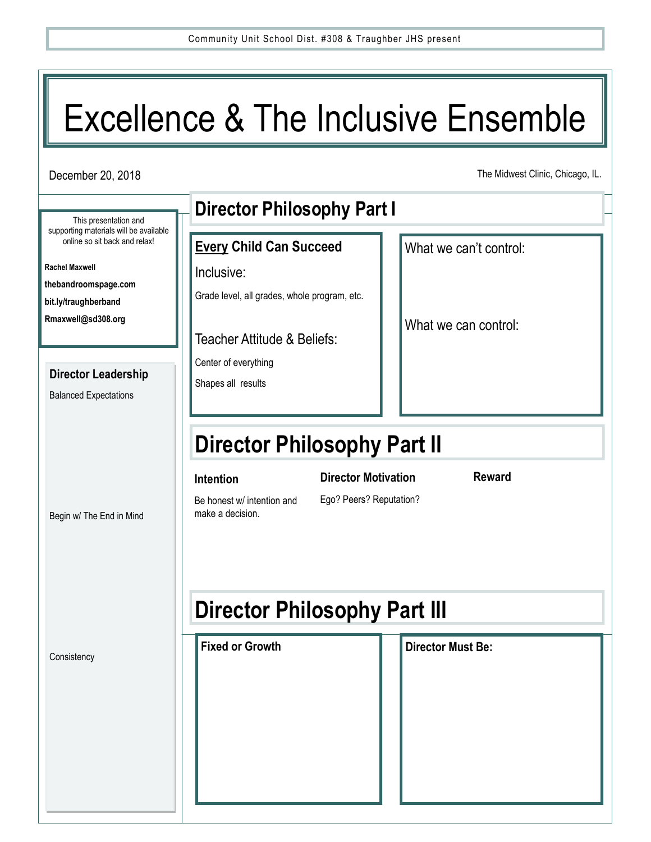# Excellence & The Inclusive Ensemble

December 20, 2018

The Midwest Clinic, Chicago, IL.

|                                                                                                  | <b>Director Philosophy Part I</b>                     |                          |  |  |
|--------------------------------------------------------------------------------------------------|-------------------------------------------------------|--------------------------|--|--|
| This presentation and<br>supporting materials will be available<br>online so sit back and relax! | <b>Every Child Can Succeed</b>                        | What we can't control:   |  |  |
| <b>Rachel Maxwell</b>                                                                            |                                                       |                          |  |  |
| thebandroomspage.com                                                                             | Inclusive:                                            |                          |  |  |
| bit.ly/traughberband                                                                             | Grade level, all grades, whole program, etc.          |                          |  |  |
| Rmaxwell@sd308.org                                                                               |                                                       |                          |  |  |
|                                                                                                  | Teacher Attitude & Beliefs:                           | What we can control:     |  |  |
|                                                                                                  |                                                       |                          |  |  |
| <b>Director Leadership</b>                                                                       | Center of everything                                  |                          |  |  |
| <b>Balanced Expectations</b>                                                                     | Shapes all results                                    |                          |  |  |
|                                                                                                  |                                                       |                          |  |  |
|                                                                                                  |                                                       |                          |  |  |
|                                                                                                  | <b>Director Philosophy Part II</b>                    |                          |  |  |
|                                                                                                  |                                                       |                          |  |  |
|                                                                                                  | <b>Director Motivation</b><br>Intention               | <b>Reward</b>            |  |  |
|                                                                                                  | Ego? Peers? Reputation?<br>Be honest w/ intention and |                          |  |  |
| Begin w/ The End in Mind                                                                         | make a decision.                                      |                          |  |  |
|                                                                                                  |                                                       |                          |  |  |
|                                                                                                  |                                                       |                          |  |  |
|                                                                                                  |                                                       |                          |  |  |
|                                                                                                  |                                                       |                          |  |  |
|                                                                                                  | <b>Director Philosophy Part III</b>                   |                          |  |  |
|                                                                                                  | <b>Fixed or Growth</b>                                | <b>Director Must Be:</b> |  |  |
| Consistency                                                                                      |                                                       |                          |  |  |
|                                                                                                  |                                                       |                          |  |  |
|                                                                                                  |                                                       |                          |  |  |
|                                                                                                  |                                                       |                          |  |  |
|                                                                                                  |                                                       |                          |  |  |
|                                                                                                  |                                                       |                          |  |  |
|                                                                                                  |                                                       |                          |  |  |
|                                                                                                  |                                                       |                          |  |  |
|                                                                                                  |                                                       |                          |  |  |
|                                                                                                  |                                                       |                          |  |  |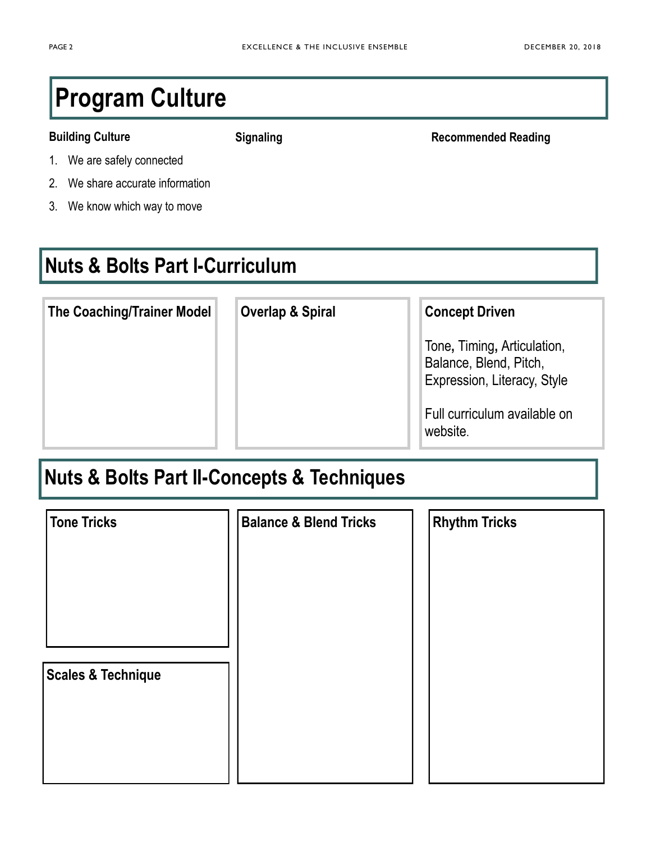# **Program Culture**

#### **Building Culture**

**Signaling Recommended Reading**

- 1. We are safely connected
- 2. We share accurate information
- 3. We know which way to move

#### **Nuts & Bolts Part I-Curriculum**

| <b>The Coaching/Trainer Model</b> | <b>Overlap &amp; Spiral</b> | <b>Concept Driven</b>                                                                |
|-----------------------------------|-----------------------------|--------------------------------------------------------------------------------------|
|                                   |                             | Tone, Timing, Articulation,<br>Balance, Blend, Pitch,<br>Expression, Literacy, Style |
|                                   |                             | Full curriculum available on<br>website.                                             |

### **Nuts & Bolts Part II-Concepts & Techniques**

| Tone Tricks        | <b>Balance &amp; Blend Tricks</b> | <b>Rhythm Tricks</b> |
|--------------------|-----------------------------------|----------------------|
|                    |                                   |                      |
| Scales & Technique |                                   |                      |
|                    |                                   |                      |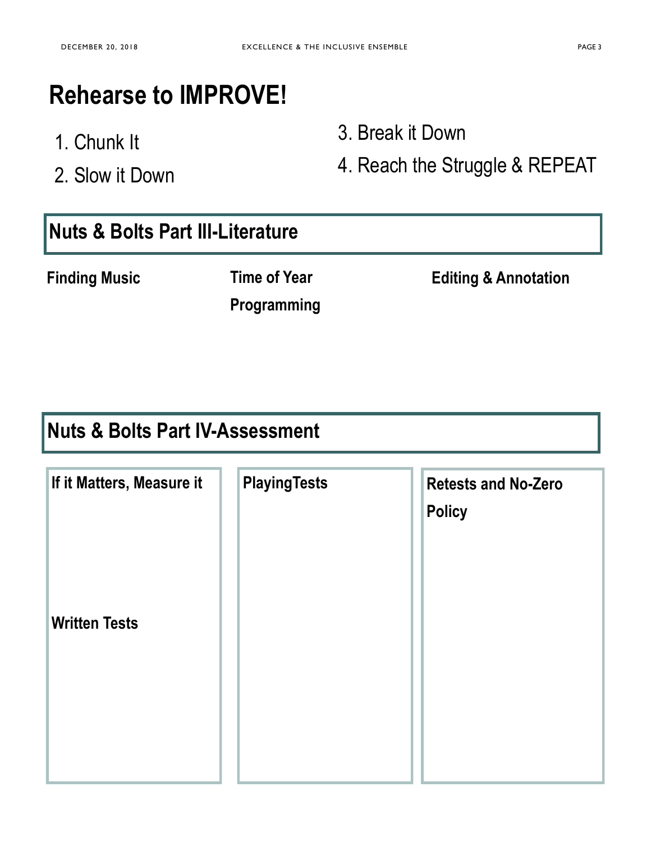# **Rehearse to IMPROVE!**

- 1. Chunk It
- 2. Slow it Down

3. Break it Down

4. Reach the Struggle & REPEAT

#### **Nuts & Bolts Part III-Literature**

**Finding Music <b>Edition Edition Editing & Annotation** 

**Time of Year** 

## **Programming**

#### **Nuts & Bolts Part IV-Assessment**

| If it Matters, Measure it | <b>PlayingTests</b> | <b>Retests and No-Zero</b><br><b>Policy</b> |
|---------------------------|---------------------|---------------------------------------------|
| <b>Written Tests</b>      |                     |                                             |